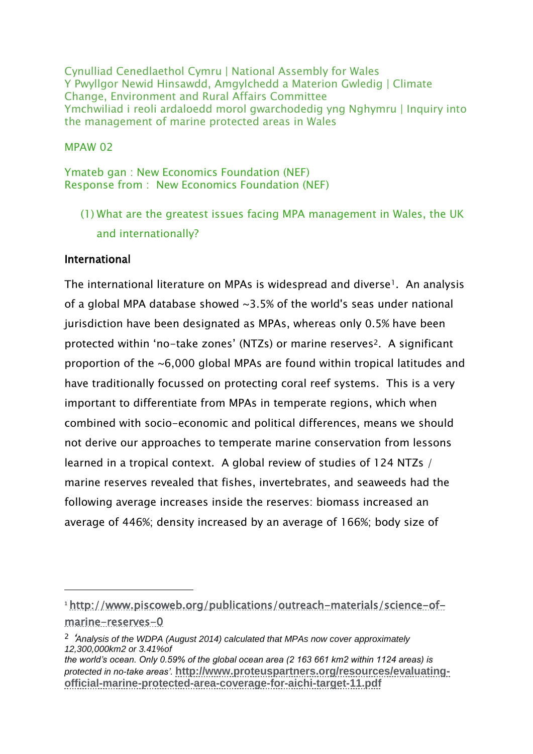Cynulliad Cenedlaethol Cymru | National Assembly for Wales Y Pwyllgor Newid Hinsawdd, Amgylchedd a Materion Gwledig | Climate Change, Environment and Rural Affairs Committee Ymchwiliad i reoli ardaloedd morol gwarchodedig yng Nghymru | Inquiry into the management of marine protected areas in Wales

#### MPAW 02

Ymateb gan : New Economics Foundation (NEF) Response from : New Economics Foundation (NEF)

(1) What are the greatest issues facing MPA management in Wales, the UK and internationally?

#### International

 $\overline{a}$ 

The international literature on MPAs is widespread and diverse<sup>1</sup>. An analysis of a global MPA database showed ~3.5% of the world's seas under national jurisdiction have been designated as MPAs, whereas only 0.5% have been protected within 'no-take zones' (NTZs) or marine reserves<sup>2</sup>. A significant proportion of the ~6,000 global MPAs are found within tropical latitudes and have traditionally focussed on protecting coral reef systems. This is a very important to differentiate from MPAs in temperate regions, which when combined with socio-economic and political differences, means we should not derive our approaches to temperate marine conservation from lessons learned in a tropical context. A global review of studies of 124 NTZs / marine reserves revealed that fishes, invertebrates, and seaweeds had the following average increases inside the reserves: biomass increased an average of 446%; density increased by an average of 166%; body size of

<sup>1</sup> [http://www.piscoweb.org/publications/outreach-materials/science-of](http://www.piscoweb.org/publications/outreach-materials/science-of-marine-reserves-0)[marine-reserves-0](http://www.piscoweb.org/publications/outreach-materials/science-of-marine-reserves-0)

<sup>2</sup> '*Analysis of the WDPA (August 2014) calculated that MPAs now cover approximately 12,300,000km2 or 3.41%of*

*the world's ocean. Only 0.59% of the global ocean area (2 163 661 km2 within 1124 areas) is protected in no-take areas'.* **[http://www.proteuspartners.org/resources/evaluating](http://www.proteuspartners.org/resources/evaluating-official-marine-protected-area-coverage-for-aichi-target-11.pdf)[official-marine-protected-area-coverage-for-aichi-target-11.pdf](http://www.proteuspartners.org/resources/evaluating-official-marine-protected-area-coverage-for-aichi-target-11.pdf)**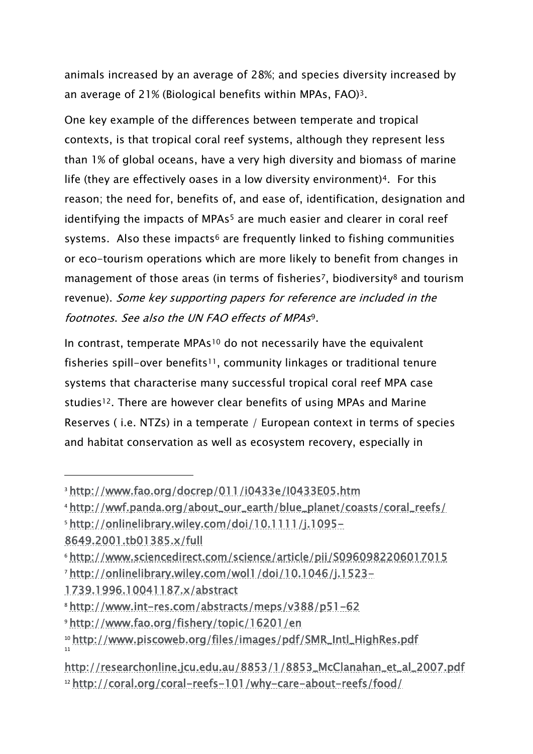animals increased by an average of 28%; and species diversity increased by an average of 21% (Biological benefits within MPAs, FAO)3.

One key example of the differences between temperate and tropical contexts, is that tropical coral reef systems, although they represent less than 1% of global oceans, have a very high diversity and biomass of marine life (they are effectively oases in a low diversity environment)<sup>4</sup>. For this reason; the need for, benefits of, and ease of, identification, designation and identifying the impacts of MPAs<sup>5</sup> are much easier and clearer in coral reef systems. Also these impacts<sup>6</sup> are frequently linked to fishing communities or eco-tourism operations which are more likely to benefit from changes in management of those areas (in terms of fisheries<sup>7</sup>, biodiversity<sup>8</sup> and tourism revenue). Some key supporting papers for reference are included in the footnotes. See also the UN FAO effects of MPAs<sup>9</sup>.

In contrast, temperate MPAs<sup>10</sup> do not necessarily have the equivalent fisheries spill-over benefits<sup>11</sup>, community linkages or traditional tenure systems that characterise many successful tropical coral reef MPA case studies<sup>12</sup>. There are however clear benefits of using MPAs and Marine Reserves ( i.e. NTZs) in a temperate / European context in terms of species and habitat conservation as well as ecosystem recovery, especially in

<sup>5</sup> [http://onlinelibrary.wiley.com/doi/10.1111/j.1095-](http://onlinelibrary.wiley.com/doi/10.1111/j.1095-8649.2001.tb01385.x/full)

-

[1739.1996.10041187.x/abstract](http://onlinelibrary.wiley.com/wol1/doi/10.1046/j.1523-1739.1996.10041187.x/abstract)

<sup>3</sup> <http://www.fao.org/docrep/011/i0433e/I0433E05.htm>

<sup>4</sup> [http://wwf.panda.org/about\\_our\\_earth/blue\\_planet/coasts/coral\\_reefs/](http://wwf.panda.org/about_our_earth/blue_planet/coasts/coral_reefs/)

[<sup>8649.2001.</sup>tb01385.x/full](http://onlinelibrary.wiley.com/doi/10.1111/j.1095-8649.2001.tb01385.x/full)

<sup>6</sup> <http://www.sciencedirect.com/science/article/pii/S0960982206017015> <sup>7</sup> [http://onlinelibrary.wiley.com/wol1/doi/10.1046/j.1523-](http://onlinelibrary.wiley.com/wol1/doi/10.1046/j.1523-1739.1996.10041187.x/abstract)

<sup>8</sup> <http://www.int-res.com/abstracts/meps/v388/p51-62>

<sup>9</sup> <http://www.fao.org/fishery/topic/16201/en>

<sup>10</sup> [http://www.piscoweb.org/files/images/pdf/SMR\\_Intl\\_HighRes.pdf](http://www.piscoweb.org/files/images/pdf/SMR_Intl_HighRes.pdf) 11

[http://researchonline.jcu.edu.au/8853/1/8853\\_McClanahan\\_et\\_al\\_2007.pdf](http://researchonline.jcu.edu.au/8853/1/8853_McClanahan_et_al_2007.pdf) <sup>12</sup> <http://coral.org/coral-reefs-101/why-care-about-reefs/food/>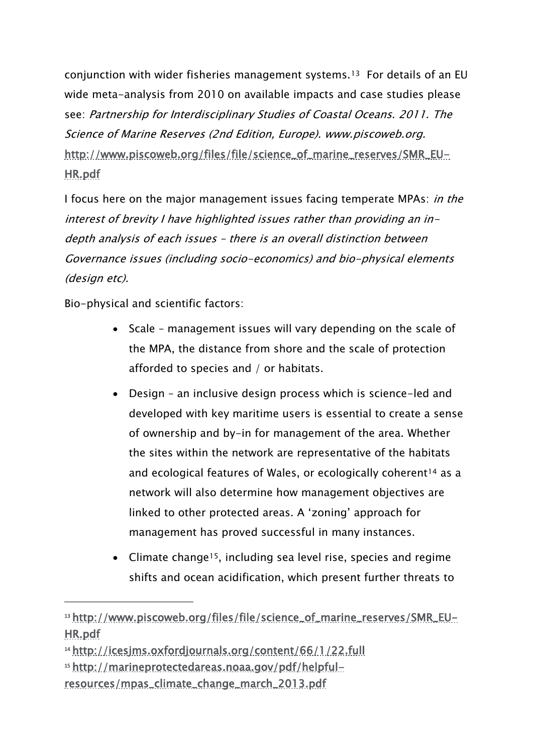conjunction with wider fisheries management systems.<sup>13</sup> For details of an EU wide meta-analysis from 2010 on available impacts and case studies please see: Partnership for Interdisciplinary Studies of Coastal Oceans. 2011. The Science of Marine Reserves (2nd Edition, Europe). www.piscoweb.org. [http://www.piscoweb.org/files/file/science\\_of\\_marine\\_reserves/SMR\\_EU-](http://www.piscoweb.org/files/file/science_of_marine_reserves/SMR_EU-HR.pdf)[HR.pdf](http://www.piscoweb.org/files/file/science_of_marine_reserves/SMR_EU-HR.pdf)

I focus here on the major management issues facing temperate MPAs: in the interest of brevity I have highlighted issues rather than providing an indepth analysis of each issues – there is an overall distinction between Governance issues (including socio-economics) and bio-physical elements (design etc).

Bio-physical and scientific factors:

- Scale management issues will vary depending on the scale of the MPA, the distance from shore and the scale of protection afforded to species and / or habitats.
- Design an inclusive design process which is science-led and developed with key maritime users is essential to create a sense of ownership and by-in for management of the area. Whether the sites within the network are representative of the habitats and ecological features of Wales, or ecologically coherent<sup>14</sup> as a network will also determine how management objectives are linked to other protected areas. A 'zoning' approach for management has proved successful in many instances.
- Climate change<sup>15</sup>, including sea level rise, species and regime shifts and ocean acidification, which present further threats to

<sup>13</sup> [http://www.piscoweb.org/files/file/science\\_of\\_marine\\_reserves/SMR\\_EU-](http://www.piscoweb.org/files/file/science_of_marine_reserves/SMR_EU-HR.pdf)[HR.pdf](http://www.piscoweb.org/files/file/science_of_marine_reserves/SMR_EU-HR.pdf)

<sup>14</sup> <http://icesjms.oxfordjournals.org/content/66/1/22.full>

<sup>15</sup> [http://marineprotectedareas.noaa.gov/pdf/helpful](http://marineprotectedareas.noaa.gov/pdf/helpful-resources/mpas_climate_change_march_2013.pdf)[resources/mpas\\_climate\\_change\\_march\\_2013.pdf](http://marineprotectedareas.noaa.gov/pdf/helpful-resources/mpas_climate_change_march_2013.pdf)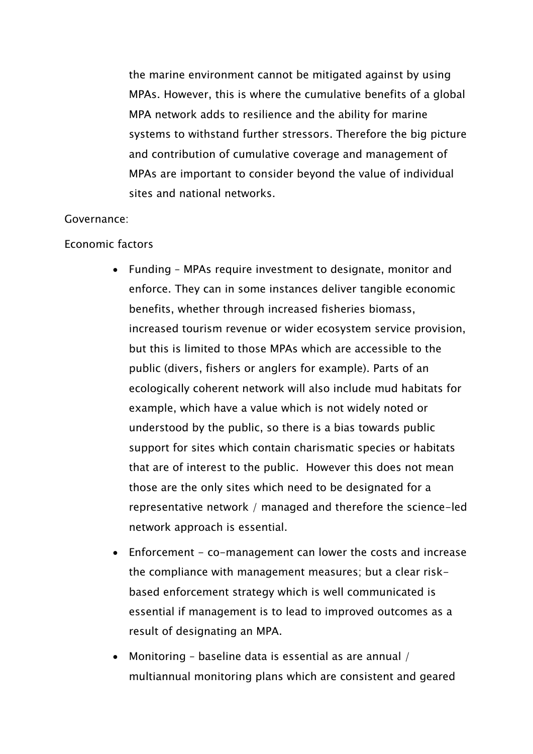the marine environment cannot be mitigated against by using MPAs. However, this is where the cumulative benefits of a global MPA network adds to resilience and the ability for marine systems to withstand further stressors. Therefore the big picture and contribution of cumulative coverage and management of MPAs are important to consider beyond the value of individual sites and national networks.

#### Governance:

#### Economic factors

- Funding MPAs require investment to designate, monitor and enforce. They can in some instances deliver tangible economic benefits, whether through increased fisheries biomass, increased tourism revenue or wider ecosystem service provision, but this is limited to those MPAs which are accessible to the public (divers, fishers or anglers for example). Parts of an ecologically coherent network will also include mud habitats for example, which have a value which is not widely noted or understood by the public, so there is a bias towards public support for sites which contain charismatic species or habitats that are of interest to the public. However this does not mean those are the only sites which need to be designated for a representative network / managed and therefore the science-led network approach is essential.
- Enforcement co-management can lower the costs and increase the compliance with management measures; but a clear riskbased enforcement strategy which is well communicated is essential if management is to lead to improved outcomes as a result of designating an MPA.
- Monitoring baseline data is essential as are annual / multiannual monitoring plans which are consistent and geared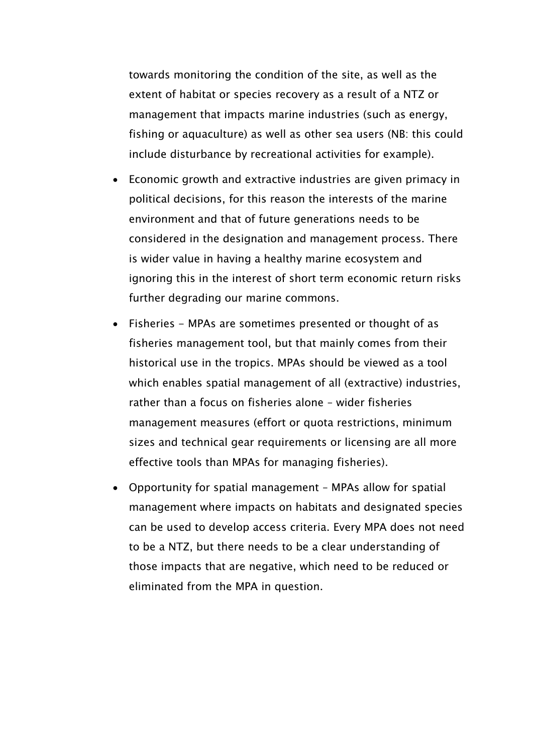towards monitoring the condition of the site, as well as the extent of habitat or species recovery as a result of a NTZ or management that impacts marine industries (such as energy, fishing or aquaculture) as well as other sea users (NB: this could include disturbance by recreational activities for example).

- Economic growth and extractive industries are given primacy in political decisions, for this reason the interests of the marine environment and that of future generations needs to be considered in the designation and management process. There is wider value in having a healthy marine ecosystem and ignoring this in the interest of short term economic return risks further degrading our marine commons.
- Fisheries MPAs are sometimes presented or thought of as fisheries management tool, but that mainly comes from their historical use in the tropics. MPAs should be viewed as a tool which enables spatial management of all (extractive) industries, rather than a focus on fisheries alone – wider fisheries management measures (effort or quota restrictions, minimum sizes and technical gear requirements or licensing are all more effective tools than MPAs for managing fisheries).
- Opportunity for spatial management MPAs allow for spatial management where impacts on habitats and designated species can be used to develop access criteria. Every MPA does not need to be a NTZ, but there needs to be a clear understanding of those impacts that are negative, which need to be reduced or eliminated from the MPA in question.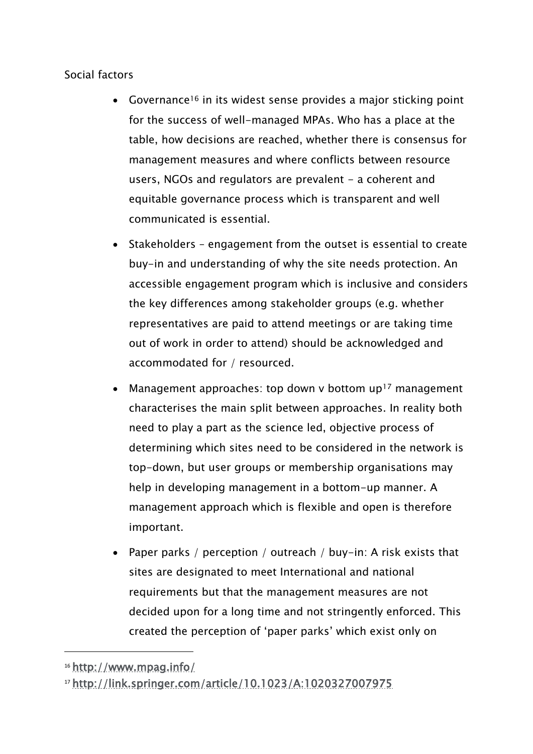#### Social factors

- Governance<sup>16</sup> in its widest sense provides a major sticking point for the success of well-managed MPAs. Who has a place at the table, how decisions are reached, whether there is consensus for management measures and where conflicts between resource users, NGOs and regulators are prevalent - a coherent and equitable governance process which is transparent and well communicated is essential.
- Stakeholders engagement from the outset is essential to create buy-in and understanding of why the site needs protection. An accessible engagement program which is inclusive and considers the key differences among stakeholder groups (e.g. whether representatives are paid to attend meetings or are taking time out of work in order to attend) should be acknowledged and accommodated for / resourced.
- Management approaches: top down v bottom  $up<sup>17</sup>$  management characterises the main split between approaches. In reality both need to play a part as the science led, objective process of determining which sites need to be considered in the network is top-down, but user groups or membership organisations may help in developing management in a bottom-up manner. A management approach which is flexible and open is therefore important.
- Paper parks / perception / outreach / buy-in: A risk exists that sites are designated to meet International and national requirements but that the management measures are not decided upon for a long time and not stringently enforced. This created the perception of 'paper parks' which exist only on

 $\overline{a}$ 

<sup>16</sup> <http://www.mpag.info/>

<sup>17</sup> <http://link.springer.com/article/10.1023/A:1020327007975>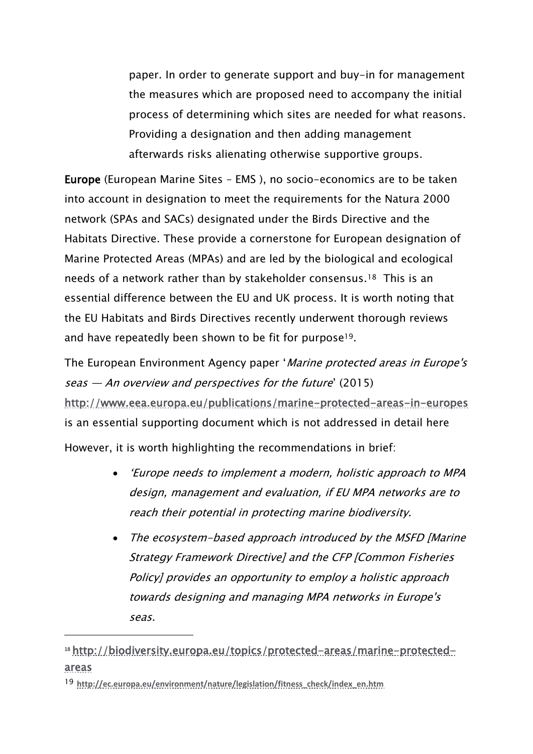paper. In order to generate support and buy-in for management the measures which are proposed need to accompany the initial process of determining which sites are needed for what reasons. Providing a designation and then adding management afterwards risks alienating otherwise supportive groups.

Europe (European Marine Sites – EMS ), no socio-economics are to be taken into account in designation to meet the requirements for the Natura 2000 network (SPAs and SACs) designated under the Birds Directive and the Habitats Directive. These provide a cornerstone for European designation of Marine Protected Areas (MPAs) and are led by the biological and ecological needs of a network rather than by stakeholder consensus.18 This is an essential difference between the EU and UK process. It is worth noting that the EU Habitats and Birds Directives recently underwent thorough reviews and have repeatedly been shown to be fit for purpose19.

The European Environment Agency paper 'Marine protected areas in Europe's seas — An overview and perspectives for the future' (2015) <http://www.eea.europa.eu/publications/marine-protected-areas-in-europes> is an essential supporting document which is not addressed in detail here

However, it is worth highlighting the recommendations in brief:

- 'Europe needs to implement a modern, holistic approach to MPA design, management and evaluation, if EU MPA networks are to reach their potential in protecting marine biodiversity.
- The ecosystem-based approach introduced by the MSFD [Marine Strategy Framework Directive] and the CFP [Common Fisheries Policy] provides an opportunity to employ a holistic approach towards designing and managing MPA networks in Europe's seas.

<sup>18</sup> [http://biodiversity.europa.eu/topics/protected-areas/marine-protected](http://biodiversity.europa.eu/topics/protected-areas/marine-protected-areas)[areas](http://biodiversity.europa.eu/topics/protected-areas/marine-protected-areas)

<sup>19</sup> **[http://ec.europa.eu/environment/nature/legislation/fitness\\_check/index\\_en.htm](http://ec.europa.eu/environment/nature/legislation/fitness_check/index_en.htm)**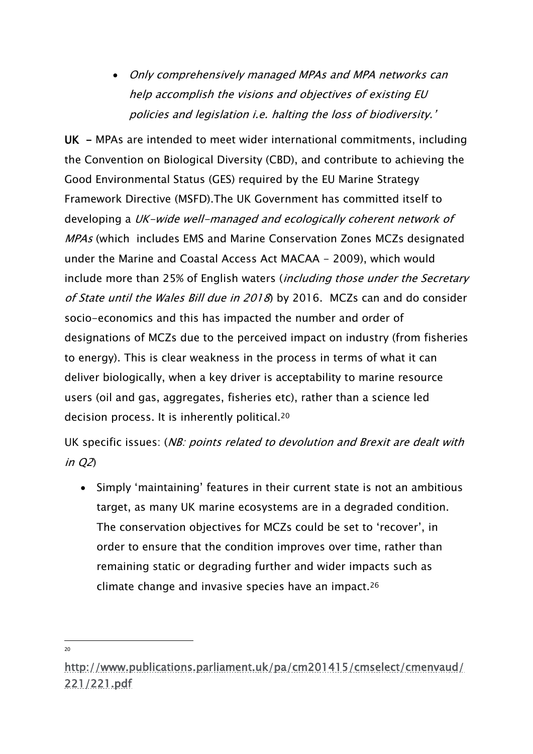Only comprehensively managed MPAs and MPA networks can help accomplish the visions and objectives of existing EU policies and legislation i.e. halting the loss of biodiversity.'

UK - MPAs are intended to meet wider international commitments, including the Convention on Biological Diversity (CBD), and contribute to achieving the Good Environmental Status (GES) required by the EU Marine Strategy Framework Directive (MSFD).The UK Government has committed itself to developing a UK-wide well-managed and ecologically coherent network of MPAs (which includes EMS and Marine Conservation Zones MCZs designated under the Marine and Coastal Access Act MACAA - 2009), which would include more than 25% of English waters (*including those under the Secretary* of State until the Wales Bill due in 2018) by 2016. MCZs can and do consider socio-economics and this has impacted the number and order of designations of MCZs due to the perceived impact on industry (from fisheries to energy). This is clear weakness in the process in terms of what it can deliver biologically, when a key driver is acceptability to marine resource users (oil and gas, aggregates, fisheries etc), rather than a science led decision process. It is inherently political.<sup>20</sup>

UK specific issues: (NB: points related to devolution and Brexit are dealt with in Q2)

• Simply 'maintaining' features in their current state is not an ambitious target, as many UK marine ecosystems are in a degraded condition. The conservation objectives for MCZs could be set to 'recover', in order to ensure that the condition improves over time, rather than remaining static or degrading further and wider impacts such as climate change and invasive species have an impact.<sup>26</sup>

[http://www.publications.parliament.uk/pa/cm201415/cmselect/cmenvaud/](http://www.publications.parliament.uk/pa/cm201415/cmselect/cmenvaud/221/221.pdf) [221/221.pdf](http://www.publications.parliament.uk/pa/cm201415/cmselect/cmenvaud/221/221.pdf)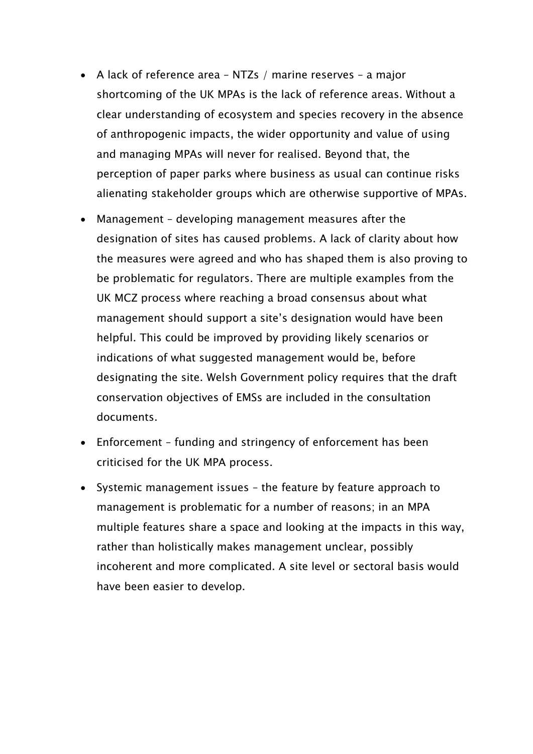- A lack of reference area NTZs / marine reserves a major shortcoming of the UK MPAs is the lack of reference areas. Without a clear understanding of ecosystem and species recovery in the absence of anthropogenic impacts, the wider opportunity and value of using and managing MPAs will never for realised. Beyond that, the perception of paper parks where business as usual can continue risks alienating stakeholder groups which are otherwise supportive of MPAs.
- Management developing management measures after the designation of sites has caused problems. A lack of clarity about how the measures were agreed and who has shaped them is also proving to be problematic for regulators. There are multiple examples from the UK MCZ process where reaching a broad consensus about what management should support a site's designation would have been helpful. This could be improved by providing likely scenarios or indications of what suggested management would be, before designating the site. Welsh Government policy requires that the draft conservation objectives of EMSs are included in the consultation documents.
- Enforcement funding and stringency of enforcement has been criticised for the UK MPA process.
- Systemic management issues the feature by feature approach to management is problematic for a number of reasons; in an MPA multiple features share a space and looking at the impacts in this way, rather than holistically makes management unclear, possibly incoherent and more complicated. A site level or sectoral basis would have been easier to develop.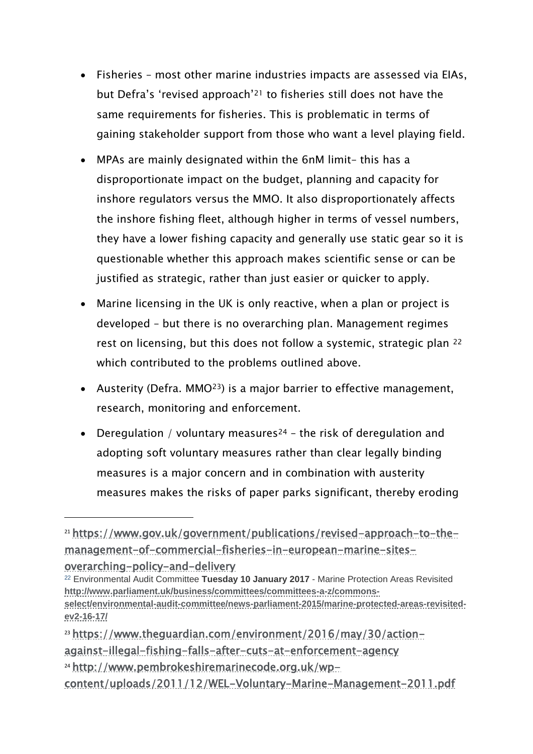- Fisheries most other marine industries impacts are assessed via EIAs, but Defra's 'revised approach'<sup>21</sup> to fisheries still does not have the same requirements for fisheries. This is problematic in terms of gaining stakeholder support from those who want a level playing field.
- MPAs are mainly designated within the 6nM limit– this has a disproportionate impact on the budget, planning and capacity for inshore regulators versus the MMO. It also disproportionately affects the inshore fishing fleet, although higher in terms of vessel numbers, they have a lower fishing capacity and generally use static gear so it is questionable whether this approach makes scientific sense or can be justified as strategic, rather than just easier or quicker to apply.
- Marine licensing in the UK is only reactive, when a plan or project is developed – but there is no overarching plan. Management regimes rest on licensing, but this does not follow a systemic, strategic plan <sup>22</sup> which contributed to the problems outlined above.
- Austerity (Defra. MMO23) is a major barrier to effective management, research, monitoring and enforcement.
- Deregulation / voluntary measures<sup>24</sup> the risk of deregulation and adopting soft voluntary measures rather than clear legally binding measures is a major concern and in combination with austerity measures makes the risks of paper parks significant, thereby eroding

<sup>23</sup> [https://www.theguardian.com/environment/2016/may/30/action-](https://www.theguardian.com/environment/2016/may/30/action-against-illegal-fishing-falls-after-cuts-at-enforcement-agency)

<sup>21</sup> [https://www.gov.uk/government/publications/revised-approach-to-the](https://www.gov.uk/government/publications/revised-approach-to-the-management-of-commercial-fisheries-in-european-marine-sites-overarching-policy-and-delivery)[management-of-commercial-fisheries-in-european-marine-sites](https://www.gov.uk/government/publications/revised-approach-to-the-management-of-commercial-fisheries-in-european-marine-sites-overarching-policy-and-delivery)[overarching-policy-and-delivery](https://www.gov.uk/government/publications/revised-approach-to-the-management-of-commercial-fisheries-in-european-marine-sites-overarching-policy-and-delivery)

<sup>22</sup> Environmental Audit Committee **Tuesday 10 January 2017** - Marine Protection Areas Revisited **[http://www.parliament.uk/business/committees/committees-a-z/commons](http://www.parliament.uk/business/committees/committees-a-z/commons-select/environmental-audit-committee/news-parliament-2015/marine-protected-areas-revisited-ev2-16-17/)[select/environmental-audit-committee/news-parliament-2015/marine-protected-areas-revisited](http://www.parliament.uk/business/committees/committees-a-z/commons-select/environmental-audit-committee/news-parliament-2015/marine-protected-areas-revisited-ev2-16-17/)[ev2-16-17/](http://www.parliament.uk/business/committees/committees-a-z/commons-select/environmental-audit-committee/news-parliament-2015/marine-protected-areas-revisited-ev2-16-17/)**

[against-illegal-fishing-falls-after-cuts-at-enforcement-agency](https://www.theguardian.com/environment/2016/may/30/action-against-illegal-fishing-falls-after-cuts-at-enforcement-agency)

<sup>24</sup> [http://www.pembrokeshiremarinecode.org.uk/wp-](http://www.pembrokeshiremarinecode.org.uk/wp-content/uploads/2011/12/WEL-Voluntary-Marine-Management-2011.pdf)

[content/uploads/2011/12/WEL-Voluntary-Marine-Management-2011.pdf](http://www.pembrokeshiremarinecode.org.uk/wp-content/uploads/2011/12/WEL-Voluntary-Marine-Management-2011.pdf)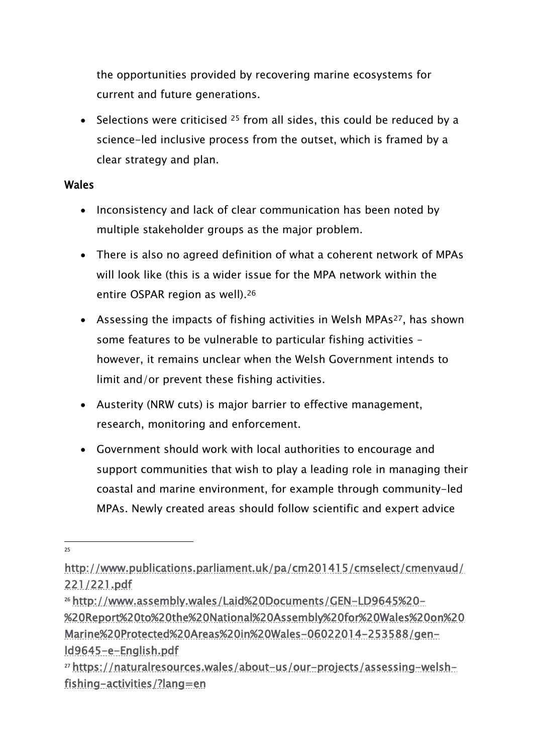the opportunities provided by recovering marine ecosystems for current and future generations.

• Selections were criticised  $25$  from all sides, this could be reduced by a science-led inclusive process from the outset, which is framed by a clear strategy and plan.

#### Wales

- Inconsistency and lack of clear communication has been noted by multiple stakeholder groups as the major problem.
- There is also no agreed definition of what a coherent network of MPAs will look like (this is a wider issue for the MPA network within the entire OSPAR region as well).<sup>26</sup>
- Assessing the impacts of fishing activities in Welsh MPAs<sup>27</sup>, has shown some features to be vulnerable to particular fishing activities – however, it remains unclear when the Welsh Government intends to limit and/or prevent these fishing activities.
- Austerity (NRW cuts) is major barrier to effective management, research, monitoring and enforcement.
- Government should work with local authorities to encourage and support communities that wish to play a leading role in managing their coastal and marine environment, for example through community-led MPAs. Newly created areas should follow scientific and expert advice

[http://www.publications.parliament.uk/pa/cm201415/cmselect/cmenvaud/](http://www.publications.parliament.uk/pa/cm201415/cmselect/cmenvaud/221/221.pdf) [221/221.pdf](http://www.publications.parliament.uk/pa/cm201415/cmselect/cmenvaud/221/221.pdf)

<sup>26</sup> [http://www.assembly.wales/Laid%20Documents/GEN-LD9645%20-](http://www.assembly.wales/Laid%20Documents/GEN-LD9645%20-%20Report%20to%20the%20National%20Assembly%20for%20Wales%20on%20Marine%20Protected%20Areas%20in%20Wales-06022014-253588/gen-ld9645-e-English.pdf) [%20Report%20to%20the%20National%20Assembly%20for%20Wales%20on%20](http://www.assembly.wales/Laid%20Documents/GEN-LD9645%20-%20Report%20to%20the%20National%20Assembly%20for%20Wales%20on%20Marine%20Protected%20Areas%20in%20Wales-06022014-253588/gen-ld9645-e-English.pdf) [Marine%20Protected%20Areas%20in%20Wales-06022014-253588/gen](http://www.assembly.wales/Laid%20Documents/GEN-LD9645%20-%20Report%20to%20the%20National%20Assembly%20for%20Wales%20on%20Marine%20Protected%20Areas%20in%20Wales-06022014-253588/gen-ld9645-e-English.pdf)[ld9645-e-English.pdf](http://www.assembly.wales/Laid%20Documents/GEN-LD9645%20-%20Report%20to%20the%20National%20Assembly%20for%20Wales%20on%20Marine%20Protected%20Areas%20in%20Wales-06022014-253588/gen-ld9645-e-English.pdf)

<sup>27</sup> [https://naturalresources.wales/about-us/our-projects/assessing-welsh](https://naturalresources.wales/about-us/our-projects/assessing-welsh-fishing-activities/?lang=en)[fishing-activities/?lang=en](https://naturalresources.wales/about-us/our-projects/assessing-welsh-fishing-activities/?lang=en)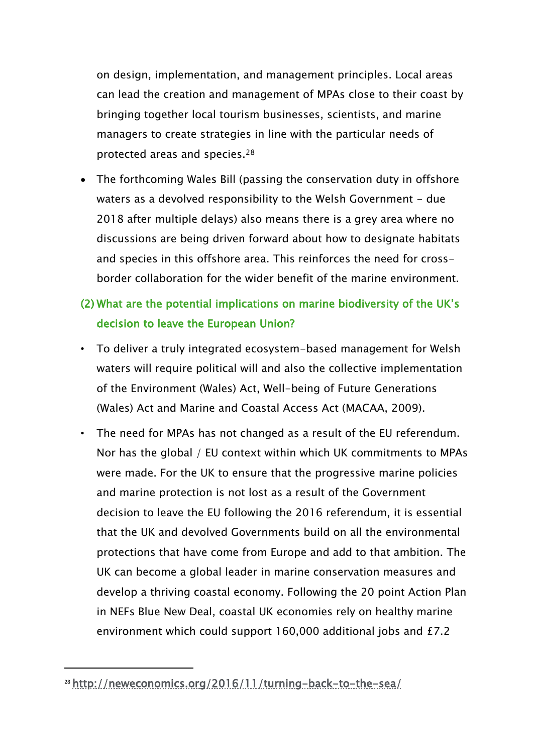on design, implementation, and management principles. Local areas can lead the creation and management of MPAs close to their coast by bringing together local tourism businesses, scientists, and marine managers to create strategies in line with the particular needs of protected areas and species.<sup>28</sup>

• The forthcoming Wales Bill (passing the conservation duty in offshore waters as a devolved responsibility to the Welsh Government - due 2018 after multiple delays) also means there is a grey area where no discussions are being driven forward about how to designate habitats and species in this offshore area. This reinforces the need for crossborder collaboration for the wider benefit of the marine environment.

# (2) What are the potential implications on marine biodiversity of the UK's decision to leave the European Union?

- To deliver a truly integrated ecosystem-based management for Welsh waters will require political will and also the collective implementation of the Environment (Wales) Act, Well-being of Future Generations (Wales) Act and Marine and Coastal Access Act (MACAA, 2009).
- The need for MPAs has not changed as a result of the EU referendum. Nor has the global / EU context within which UK commitments to MPAs were made. For the UK to ensure that the progressive marine policies and marine protection is not lost as a result of the Government decision to leave the EU following the 2016 referendum, it is essential that the UK and devolved Governments build on all the environmental protections that have come from Europe and add to that ambition. The UK can become a global leader in marine conservation measures and develop a thriving coastal economy. Following the 20 point Action Plan in NEFs Blue New Deal, coastal UK economies rely on healthy marine environment which could support 160,000 additional jobs and £7.2

<sup>28</sup> <http://neweconomics.org/2016/11/turning-back-to-the-sea/>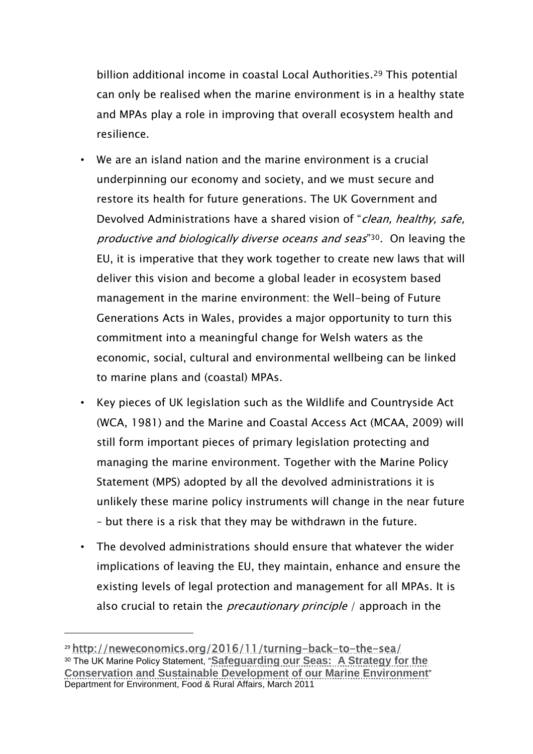billion additional income in coastal Local Authorities.<sup>29</sup> This potential can only be realised when the marine environment is in a healthy state and MPAs play a role in improving that overall ecosystem health and resilience.

- We are an island nation and the marine environment is a crucial underpinning our economy and society, and we must secure and restore its health for future generations. The UK Government and Devolved Administrations have a shared vision of "clean, healthy, safe, productive and biologically diverse oceans and seas"<sup>30</sup>. On leaving the EU, it is imperative that they work together to create new laws that will deliver this vision and become a global leader in ecosystem based management in the marine environment: the Well-being of Future Generations Acts in Wales, provides a major opportunity to turn this commitment into a meaningful change for Welsh waters as the economic, social, cultural and environmental wellbeing can be linked to marine plans and (coastal) MPAs.
- Key pieces of UK legislation such as the Wildlife and Countryside Act (WCA, 1981) and the Marine and Coastal Access Act (MCAA, 2009) will still form important pieces of primary legislation protecting and managing the marine environment. Together with the Marine Policy Statement (MPS) adopted by all the devolved administrations it is unlikely these marine policy instruments will change in the near future – but there is a risk that they may be withdrawn in the future.
- The devolved administrations should ensure that whatever the wider implications of leaving the EU, they maintain, enhance and ensure the existing levels of legal protection and management for all MPAs. It is also crucial to retain the *precautionary principle* / approach in the

 $\overline{a}$ 

<sup>29</sup> <http://neweconomics.org/2016/11/turning-back-to-the-sea/> <sup>30</sup> The UK Marine Policy Statement, "**[Safeguarding our Seas: A Strategy for the](https://www.gov.uk/government/uploads/system/uploads/attachment_data/file/69321/pb6187-marine-stewardship-020425.pdf)  Conservation and Sustainable [Development of our Marine Environment](https://www.gov.uk/government/uploads/system/uploads/attachment_data/file/69321/pb6187-marine-stewardship-020425.pdf)**" Department for Environment, Food & Rural Affairs, March 2011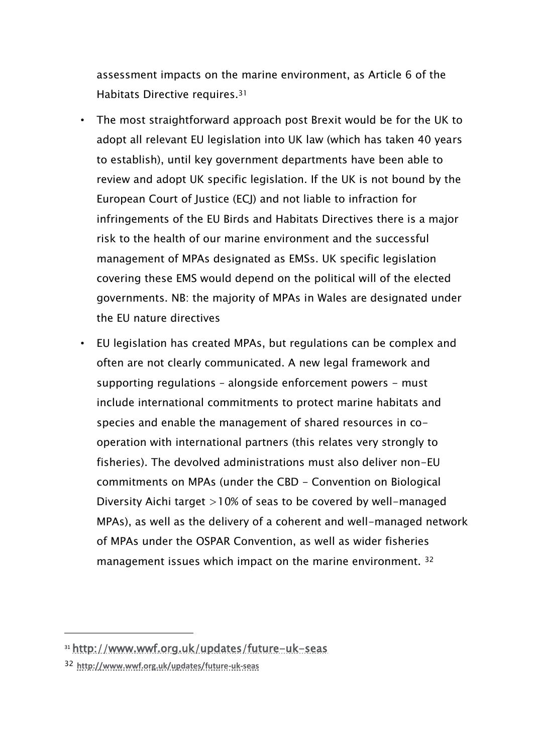assessment impacts on the marine environment, as Article 6 of the Habitats Directive requires.<sup>31</sup>

- The most straightforward approach post Brexit would be for the UK to adopt all relevant EU legislation into UK law (which has taken 40 years to establish), until key government departments have been able to review and adopt UK specific legislation. If the UK is not bound by the European Court of Justice (ECJ) and not liable to infraction for infringements of the EU Birds and Habitats Directives there is a major risk to the health of our marine environment and the successful management of MPAs designated as EMSs. UK specific legislation covering these EMS would depend on the political will of the elected governments. NB: the majority of MPAs in Wales are designated under the EU nature directives
- EU legislation has created MPAs, but regulations can be complex and often are not clearly communicated. A new legal framework and supporting regulations - alongside enforcement powers - must include international commitments to protect marine habitats and species and enable the management of shared resources in cooperation with international partners (this relates very strongly to fisheries). The devolved administrations must also deliver non-EU commitments on MPAs (under the CBD - Convention on Biological Diversity Aichi target >10% of seas to be covered by well-managed MPAs), as well as the delivery of a coherent and well-managed network of MPAs under the OSPAR Convention, as well as wider fisheries management issues which impact on the marine environment. <sup>32</sup>

 $\overline{a}$ 

<sup>31</sup> [http://www.wwf.org.uk/updates/future-uk-seas](http://scanmail.trustwave.com/?c=6600&d=rsH82BpSqDO6svgqVeseYSeScdA4DDMDi7zE5PtISw&s=635&u=http%3a%2f%2fwww%2ewwf%2eorg%2euk%2fupdates%2ffuture-uk-seas)

<sup>32</sup> **[http://www.wwf.org.uk/updates/future-uk-seas](http://scanmail.trustwave.com/?c=6600&d=rsH82BpSqDO6svgqVeseYSeScdA4DDMDi7zE5PtISw&s=635&u=http%3a%2f%2fwww%2ewwf%2eorg%2euk%2fupdates%2ffuture-uk-seas)**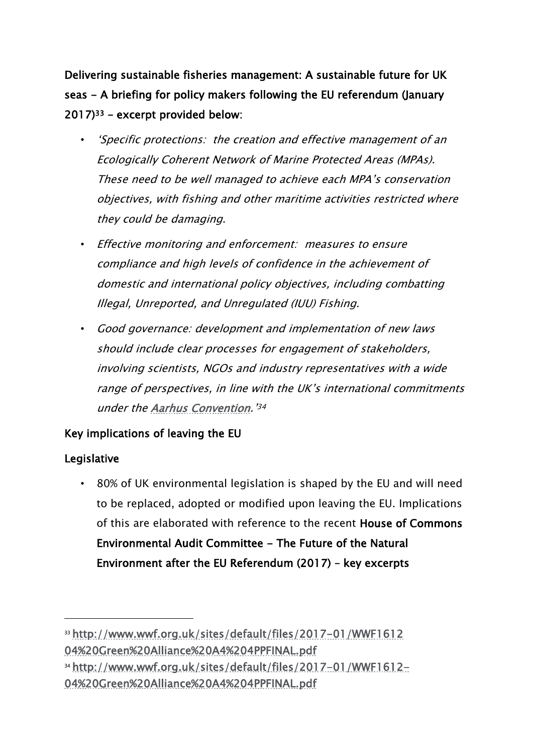Delivering sustainable fisheries management: A sustainable future for UK seas - A briefing for policy makers following the EU referendum (January 2017)<sup>33</sup> – excerpt provided below:

- 'Specific protections: the creation and effective management of an Ecologically Coherent Network of Marine Protected Areas (MPAs). These need to be well managed to achieve each MPA's conservation objectives, with fishing and other maritime activities restricted where they could be damaging.
- Effective monitoring and enforcement: measures to ensure compliance and high levels of confidence in the achievement of domestic and international policy objectives, including combatting Illegal, Unreported, and Unregulated (IUU) Fishing.
- Good governance: development and implementation of new laws should include clear processes for engagement of stakeholders, involving scientists, NGOs and industry representatives with a wide range of perspectives, in line with the UK's international commitments under the [Aarhus Convention](http://www.unece.org/env/pp/introduction.html).' 34

## Key implications of leaving the EU

#### Legislative

-

• 80% of UK environmental legislation is shaped by the EU and will need to be replaced, adopted or modified upon leaving the EU. Implications of this are elaborated with reference to the recent House of Commons Environmental Audit Committee - The Future of the Natural Environment after the EU Referendum (2017) – key excerpts

<sup>33</sup> [http://www.wwf.org.uk/sites/default/files/2017-01/WWF1612](http://www.wwf.org.uk/sites/default/files/2017-01/WWF1612%2004%20Green%20Alliance%20A4%204PPFINAL.pdf)  [04%20Green%20Alliance%20A4%204PPFINAL.pdf](http://www.wwf.org.uk/sites/default/files/2017-01/WWF1612%2004%20Green%20Alliance%20A4%204PPFINAL.pdf)

<sup>34</sup> [http://www.wwf.org.uk/sites/default/files/2017-01/WWF1612-](http://www.wwf.org.uk/sites/default/files/2017-01/WWF1612-04%20Green%20Alliance%20A4%204PPFINAL.pdf) [04%20Green%20Alliance%20A4%204PPFINAL.pdf](http://www.wwf.org.uk/sites/default/files/2017-01/WWF1612-04%20Green%20Alliance%20A4%204PPFINAL.pdf)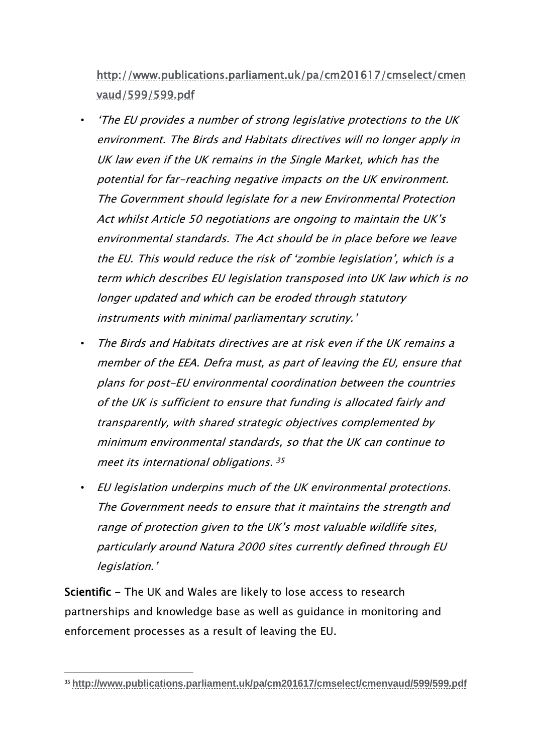[http://www.publications.parliament.uk/pa/cm201617/cmselect/cmen](http://www.publications.parliament.uk/pa/cm201617/cmselect/cmenvaud/599/599.pdf) [vaud/599/599.pdf](http://www.publications.parliament.uk/pa/cm201617/cmselect/cmenvaud/599/599.pdf)

- 'The EU provides a number of strong legislative protections to the UK environment. The Birds and Habitats directives will no longer apply in UK law even if the UK remains in the Single Market, which has the potential for far-reaching negative impacts on the UK environment. The Government should legislate for a new Environmental Protection Act whilst Article 50 negotiations are ongoing to maintain the UK's environmental standards. The Act should be in place before we leave the EU. This would reduce the risk of 'zombie legislation', which is a term which describes EU legislation transposed into UK law which is no longer updated and which can be eroded through statutory instruments with minimal parliamentary scrutiny.'
- The Birds and Habitats directives are at risk even if the UK remains a member of the EEA. Defra must, as part of leaving the EU, ensure that plans for post-EU environmental coordination between the countries of the UK is sufficient to ensure that funding is allocated fairly and transparently, with shared strategic objectives complemented by minimum environmental standards, so that the UK can continue to meet its international obligations. 35
- EU legislation underpins much of the UK environmental protections. The Government needs to ensure that it maintains the strength and range of protection given to the UK's most valuable wildlife sites, particularly around Natura 2000 sites currently defined through EU legislation.'

Scientific - The UK and Wales are likely to lose access to research partnerships and knowledge base as well as guidance in monitoring and enforcement processes as a result of leaving the EU.

<sup>35</sup> **<http://www.publications.parliament.uk/pa/cm201617/cmselect/cmenvaud/599/599.pdf>**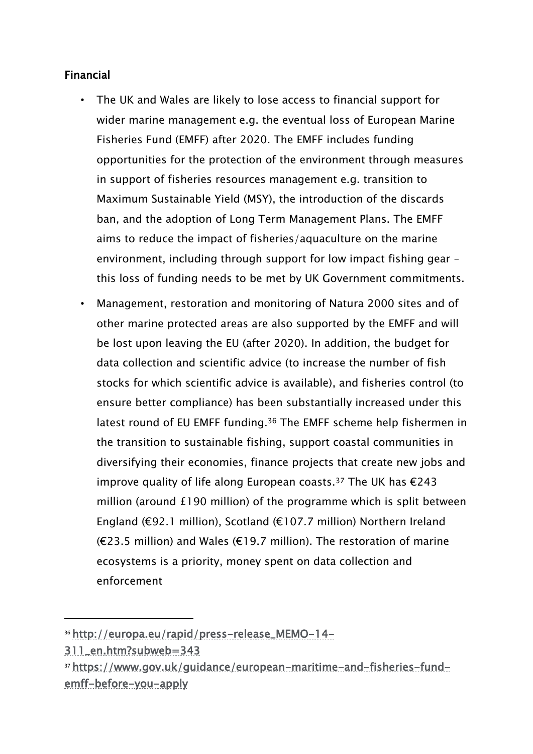### Financial

- The UK and Wales are likely to lose access to financial support for wider marine management e.g. the eventual loss of European Marine Fisheries Fund (EMFF) after 2020. The EMFF includes funding opportunities for the protection of the environment through measures in support of fisheries resources management e.g. transition to Maximum Sustainable Yield (MSY), the introduction of the discards ban, and the adoption of Long Term Management Plans. The EMFF aims to reduce the impact of fisheries/aquaculture on the marine environment, including through support for low impact fishing gear – this loss of funding needs to be met by UK Government commitments.
- Management, restoration and monitoring of Natura 2000 sites and of other marine protected areas are also supported by the EMFF and will be lost upon leaving the EU (after 2020). In addition, the budget for data collection and scientific advice (to increase the number of fish stocks for which scientific advice is available), and fisheries control (to ensure better compliance) has been substantially increased under this latest round of EU EMFF funding.<sup>36</sup> The EMFF scheme help fishermen in the transition to sustainable fishing, support coastal communities in diversifying their economies, finance projects that create new jobs and improve quality of life along European coasts.<sup>37</sup> The UK has €243 million (around £190 million) of the programme which is split between England (€92.1 million), Scotland (€107.7 million) Northern Ireland (€23.5 million) and Wales (€19.7 million). The restoration of marine ecosystems is a priority, money spent on data collection and enforcement

<sup>36</sup> [http://europa.eu/rapid/press-release\\_MEMO-14-](http://europa.eu/rapid/press-release_MEMO-14-311_en.htm?subweb=343)

[<sup>311</sup>\\_en.htm?subweb=343](http://europa.eu/rapid/press-release_MEMO-14-311_en.htm?subweb=343)

<sup>37</sup> [https://www.gov.uk/guidance/european-maritime-and-fisheries-fund](https://www.gov.uk/guidance/european-maritime-and-fisheries-fund-emff-before-you-apply)[emff-before-you-apply](https://www.gov.uk/guidance/european-maritime-and-fisheries-fund-emff-before-you-apply)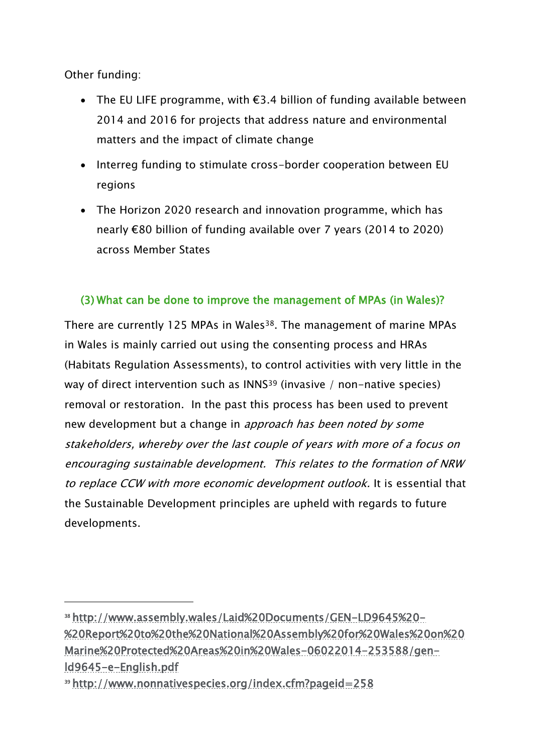Other funding:

-

- The EU LIFE programme, with €3.4 billion of funding available between 2014 and 2016 for projects that address nature and environmental matters and the impact of climate change
- Interreg funding to stimulate cross-border cooperation between EU regions
- The Horizon 2020 research and innovation programme, which has nearly €80 billion of funding available over 7 years (2014 to 2020) across Member States

### (3) What can be done to improve the management of MPAs (in Wales)?

There are currently 125 MPAs in Wales<sup>38</sup>. The management of marine MPAs in Wales is mainly carried out using the consenting process and HRAs (Habitats Regulation Assessments), to control activities with very little in the way of direct intervention such as INNS<sup>39</sup> (invasive / non-native species) removal or restoration. In the past this process has been used to prevent new development but a change in *approach has been noted by some* stakeholders, whereby over the last couple of years with more of a focus on encouraging sustainable development. This relates to the formation of NRW to replace CCW with more economic development outlook. It is essential that the Sustainable Development principles are upheld with regards to future developments.

<sup>38</sup> [http://www.assembly.wales/Laid%20Documents/GEN-LD9645%20-](http://www.assembly.wales/Laid%20Documents/GEN-LD9645%20-%20Report%20to%20the%20National%20Assembly%20for%20Wales%20on%20Marine%20Protected%20Areas%20in%20Wales-06022014-253588/gen-ld9645-e-English.pdf) [%20Report%20to%20the%20National%20Assembly%20for%20Wales%20on%20](http://www.assembly.wales/Laid%20Documents/GEN-LD9645%20-%20Report%20to%20the%20National%20Assembly%20for%20Wales%20on%20Marine%20Protected%20Areas%20in%20Wales-06022014-253588/gen-ld9645-e-English.pdf) [Marine%20Protected%20Areas%20in%20Wales-06022014-253588/gen](http://www.assembly.wales/Laid%20Documents/GEN-LD9645%20-%20Report%20to%20the%20National%20Assembly%20for%20Wales%20on%20Marine%20Protected%20Areas%20in%20Wales-06022014-253588/gen-ld9645-e-English.pdf)[ld9645-e-English.pdf](http://www.assembly.wales/Laid%20Documents/GEN-LD9645%20-%20Report%20to%20the%20National%20Assembly%20for%20Wales%20on%20Marine%20Protected%20Areas%20in%20Wales-06022014-253588/gen-ld9645-e-English.pdf)

<sup>39</sup> <http://www.nonnativespecies.org/index.cfm?pageid=258>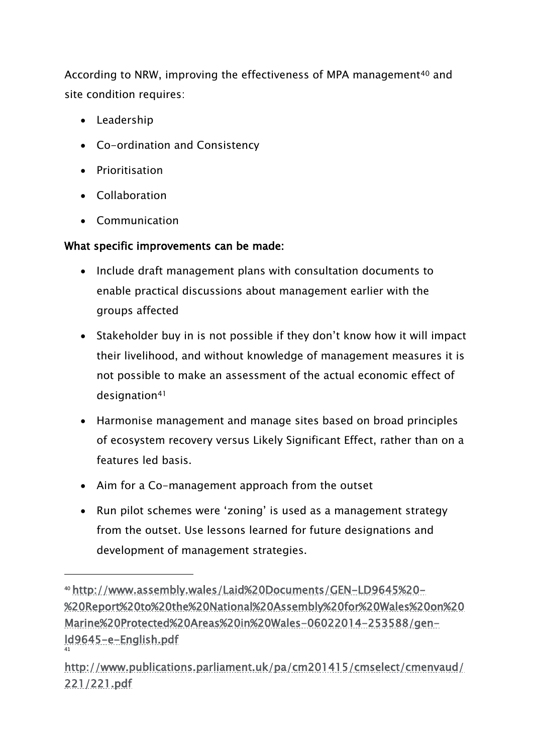According to NRW, improving the effectiveness of MPA management<sup>40</sup> and site condition requires:

- Leadership
- Co-ordination and Consistency
- Prioritisation
- Collaboration

-

Communication

## What specific improvements can be made:

- Include draft management plans with consultation documents to enable practical discussions about management earlier with the groups affected
- Stakeholder buy in is not possible if they don't know how it will impact their livelihood, and without knowledge of management measures it is not possible to make an assessment of the actual economic effect of designation<sup>41</sup>
- Harmonise management and manage sites based on broad principles of ecosystem recovery versus Likely Significant Effect, rather than on a features led basis.
- Aim for a Co-management approach from the outset
- Run pilot schemes were 'zoning' is used as a management strategy from the outset. Use lessons learned for future designations and development of management strategies.

<sup>40</sup> [http://www.assembly.wales/Laid%20Documents/GEN-LD9645%20-](http://www.assembly.wales/Laid%20Documents/GEN-LD9645%20-%20Report%20to%20the%20National%20Assembly%20for%20Wales%20on%20Marine%20Protected%20Areas%20in%20Wales-06022014-253588/gen-ld9645-e-English.pdf) [%20Report%20to%20the%20National%20Assembly%20for%20Wales%20on%20](http://www.assembly.wales/Laid%20Documents/GEN-LD9645%20-%20Report%20to%20the%20National%20Assembly%20for%20Wales%20on%20Marine%20Protected%20Areas%20in%20Wales-06022014-253588/gen-ld9645-e-English.pdf) [Marine%20Protected%20Areas%20in%20Wales-06022014-253588/gen](http://www.assembly.wales/Laid%20Documents/GEN-LD9645%20-%20Report%20to%20the%20National%20Assembly%20for%20Wales%20on%20Marine%20Protected%20Areas%20in%20Wales-06022014-253588/gen-ld9645-e-English.pdf)[ld9645-e-English.pdf](http://www.assembly.wales/Laid%20Documents/GEN-LD9645%20-%20Report%20to%20the%20National%20Assembly%20for%20Wales%20on%20Marine%20Protected%20Areas%20in%20Wales-06022014-253588/gen-ld9645-e-English.pdf) 41

[http://www.publications.parliament.uk/pa/cm201415/cmselect/cmenvaud/](http://www.publications.parliament.uk/pa/cm201415/cmselect/cmenvaud/221/221.pdf) [221/221.pdf](http://www.publications.parliament.uk/pa/cm201415/cmselect/cmenvaud/221/221.pdf)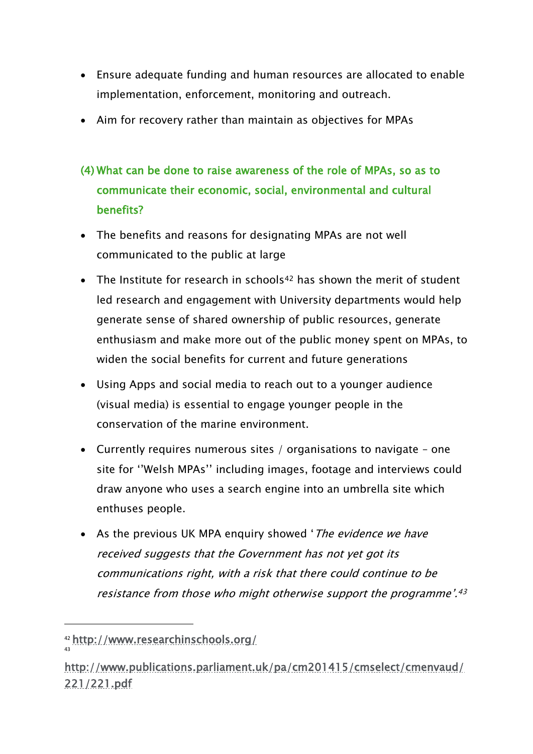- Ensure adequate funding and human resources are allocated to enable implementation, enforcement, monitoring and outreach.
- Aim for recovery rather than maintain as objectives for MPAs
- (4) What can be done to raise awareness of the role of MPAs, so as to communicate their economic, social, environmental and cultural benefits?
- The benefits and reasons for designating MPAs are not well communicated to the public at large
- The Institute for research in schools<sup>42</sup> has shown the merit of student led research and engagement with University departments would help generate sense of shared ownership of public resources, generate enthusiasm and make more out of the public money spent on MPAs, to widen the social benefits for current and future generations
- Using Apps and social media to reach out to a younger audience (visual media) is essential to engage younger people in the conservation of the marine environment.
- Currently requires numerous sites / organisations to navigate one site for ''Welsh MPAs'' including images, footage and interviews could draw anyone who uses a search engine into an umbrella site which enthuses people.
- As the previous UK MPA enquiry showed 'The evidence we have received suggests that the Government has not yet got its communications right, with a risk that there could continue to be resistance from those who might otherwise support the programme'. 43

 $\overline{a}$ 

<sup>42</sup> <http://www.researchinschools.org/> 43

[http://www.publications.parliament.uk/pa/cm201415/cmselect/cmenvaud/](http://www.publications.parliament.uk/pa/cm201415/cmselect/cmenvaud/221/221.pdf) [221/221.pdf](http://www.publications.parliament.uk/pa/cm201415/cmselect/cmenvaud/221/221.pdf)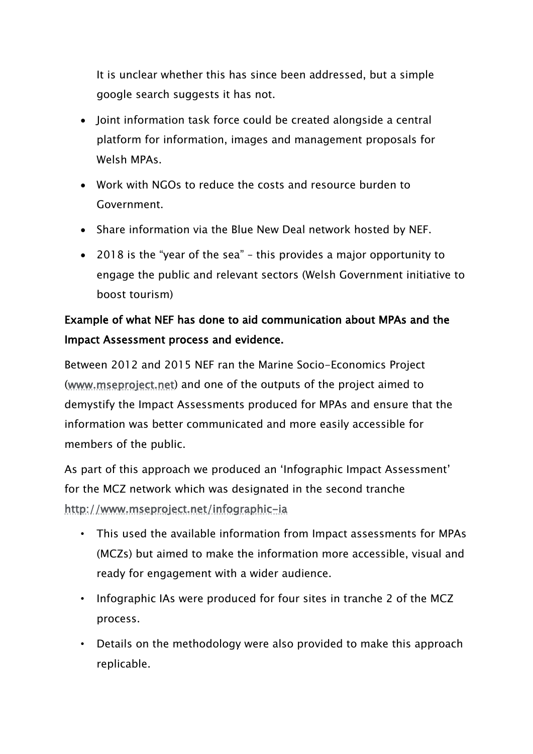It is unclear whether this has since been addressed, but a simple google search suggests it has not.

- Joint information task force could be created alongside a central platform for information, images and management proposals for Welsh MPAs.
- Work with NGOs to reduce the costs and resource burden to Government.
- Share information via the Blue New Deal network hosted by NEF.
- 2018 is the "year of the sea" this provides a major opportunity to engage the public and relevant sectors (Welsh Government initiative to boost tourism)

# Example of what NEF has done to aid communication about MPAs and the Impact Assessment process and evidence.

Between 2012 and 2015 NEF ran the Marine Socio-Economics Project [\(www.mseproject.net\)](http://www.mseproject.net/) and one of the outputs of the project aimed to demystify the Impact Assessments produced for MPAs and ensure that the information was better communicated and more easily accessible for members of the public.

As part of this approach we produced an 'Infographic Impact Assessment' for the MCZ network which was designated in the second tranche <http://www.mseproject.net/infographic-ia>

- This used the available information from Impact assessments for MPAs (MCZs) but aimed to make the information more accessible, visual and ready for engagement with a wider audience.
- Infographic IAs were produced for four sites in tranche 2 of the MCZ process.
- Details on the methodology were also provided to make this approach replicable.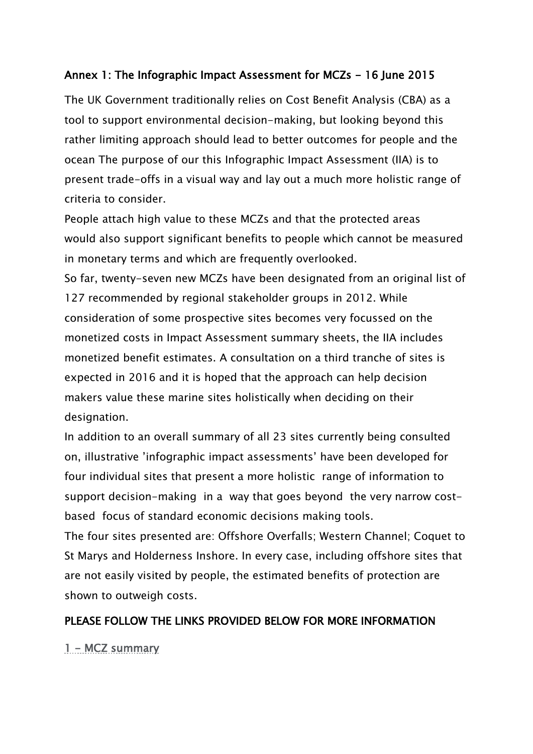#### Annex 1: The Infographic Impact Assessment for MCZs - 16 June 2015

The UK Government traditionally relies on Cost Benefit Analysis (CBA) as a tool to support environmental decision-making, but looking beyond this rather limiting approach should lead to better outcomes for people and the ocean The purpose of our this Infographic Impact Assessment (IIA) is to present trade-offs in a visual way and lay out a much more holistic range of criteria to consider.

People attach high value to these MCZs and that the protected areas would also support significant benefits to people which cannot be measured in monetary terms and which are frequently overlooked.

So far, twenty-seven new MCZs have been designated from an original list of 127 recommended by regional stakeholder groups in 2012. While consideration of some prospective sites becomes very focussed on the monetized costs in Impact Assessment summary sheets, the IIA includes monetized benefit estimates. A consultation on a third tranche of sites is expected in 2016 and it is hoped that the approach can help decision makers value these marine sites holistically when deciding on their designation.

In addition to an overall summary of all 23 sites currently being consulted on, illustrative 'infographic impact assessments' have been developed for four individual sites that present a more holistic range of information to support decision-making in a way that goes beyond the very narrow costbased focus of standard economic decisions making tools.

The four sites presented are: Offshore Overfalls; Western Channel; Coquet to St Marys and Holderness Inshore. In every case, including offshore sites that are not easily visited by people, the estimated benefits of protection are shown to outweigh costs.

#### PLEASE FOLLOW THE LINKS PROVIDED BELOW FOR MORE INFORMATION

[1 - MCZ summary](http://www.mseproject.net/doc-presentations/doc_download/170-1-mcz-summary)